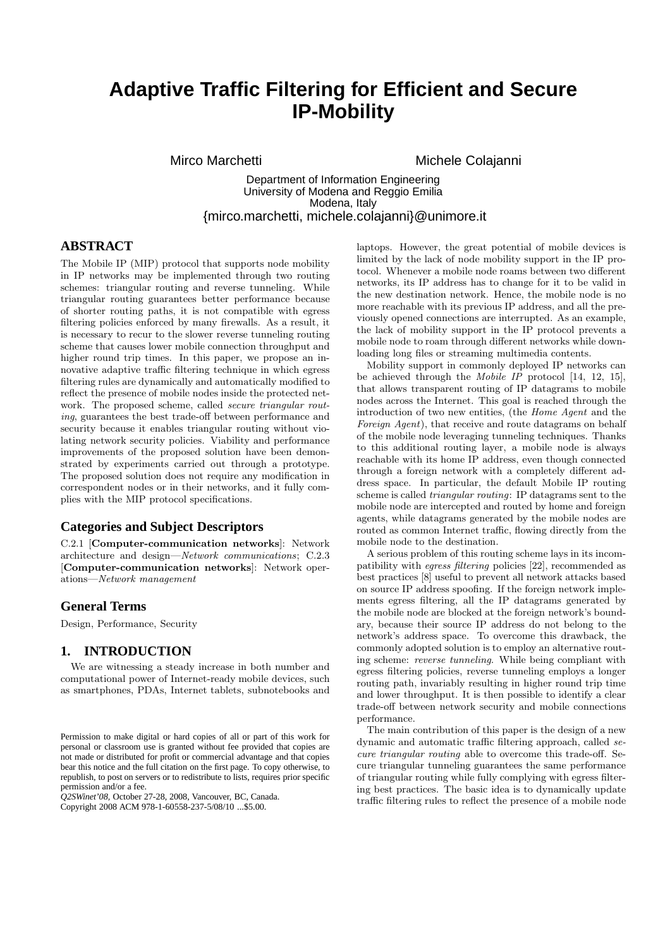# **Adaptive Traffic Filtering for Efficient and Secure IP-Mobility**

Mirco Marchetti **Michele Colajanni** 

Department of Information Engineering University of Modena and Reggio Emilia Modena, Italy {mirco.marchetti, michele.colajanni}@unimore.it

## **ABSTRACT**

The Mobile IP (MIP) protocol that supports node mobility in IP networks may be implemented through two routing schemes: triangular routing and reverse tunneling. While triangular routing guarantees better performance because of shorter routing paths, it is not compatible with egress filtering policies enforced by many firewalls. As a result, it is necessary to recur to the slower reverse tunneling routing scheme that causes lower mobile connection throughput and higher round trip times. In this paper, we propose an innovative adaptive traffic filtering technique in which egress filtering rules are dynamically and automatically modified to reflect the presence of mobile nodes inside the protected network. The proposed scheme, called *secure triangular routing*, guarantees the best trade-off between performance and security because it enables triangular routing without violating network security policies. Viability and performance improvements of the proposed solution have been demonstrated by experiments carried out through a prototype. The proposed solution does not require any modification in correspondent nodes or in their networks, and it fully complies with the MIP protocol specifications.

## **Categories and Subject Descriptors**

C.2.1 [Computer-communication networks]: Network architecture and design—*Network communications*; C.2.3 [Computer-communication networks]: Network operations—*Network management*

#### **General Terms**

Design, Performance, Security

## **1. INTRODUCTION**

We are witnessing a steady increase in both number and computational power of Internet-ready mobile devices, such as smartphones, PDAs, Internet tablets, subnotebooks and

*Q2SWinet'08,* October 27-28, 2008, Vancouver, BC, Canada.

Copyright 2008 ACM 978-1-60558-237-5/08/10 ...\$5.00.

laptops. However, the great potential of mobile devices is limited by the lack of node mobility support in the IP protocol. Whenever a mobile node roams between two different networks, its IP address has to change for it to be valid in the new destination network. Hence, the mobile node is no more reachable with its previous IP address, and all the previously opened connections are interrupted. As an example, the lack of mobility support in the IP protocol prevents a mobile node to roam through different networks while downloading long files or streaming multimedia contents.

Mobility support in commonly deployed IP networks can be achieved through the *Mobile IP* protocol [14, 12, 15], that allows transparent routing of IP datagrams to mobile nodes across the Internet. This goal is reached through the introduction of two new entities, (the *Home Agent* and the *Foreign Agent*), that receive and route datagrams on behalf of the mobile node leveraging tunneling techniques. Thanks to this additional routing layer, a mobile node is always reachable with its home IP address, even though connected through a foreign network with a completely different address space. In particular, the default Mobile IP routing scheme is called *triangular routing*: IP datagrams sent to the mobile node are intercepted and routed by home and foreign agents, while datagrams generated by the mobile nodes are routed as common Internet traffic, flowing directly from the mobile node to the destination.

A serious problem of this routing scheme lays in its incompatibility with *egress filtering* policies [22], recommended as best practices [8] useful to prevent all network attacks based on source IP address spoofing. If the foreign network implements egress filtering, all the IP datagrams generated by the mobile node are blocked at the foreign network's boundary, because their source IP address do not belong to the network's address space. To overcome this drawback, the commonly adopted solution is to employ an alternative routing scheme: *reverse tunneling*. While being compliant with egress filtering policies, reverse tunneling employs a longer routing path, invariably resulting in higher round trip time and lower throughput. It is then possible to identify a clear trade-off between network security and mobile connections performance.

The main contribution of this paper is the design of a new dynamic and automatic traffic filtering approach, called *secure triangular routing* able to overcome this trade-off. Secure triangular tunneling guarantees the same performance of triangular routing while fully complying with egress filtering best practices. The basic idea is to dynamically update traffic filtering rules to reflect the presence of a mobile node

Permission to make digital or hard copies of all or part of this work for personal or classroom use is granted without fee provided that copies are not made or distributed for profit or commercial advantage and that copies bear this notice and the full citation on the first page. To copy otherwise, to republish, to post on servers or to redistribute to lists, requires prior specific permission and/or a fee.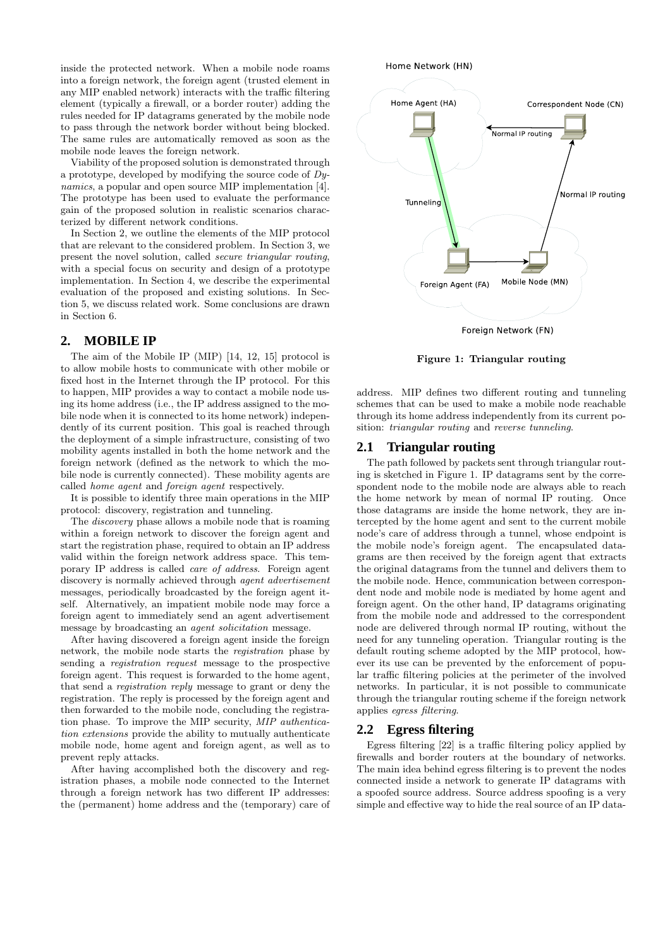inside the protected network. When a mobile node roams into a foreign network, the foreign agent (trusted element in any MIP enabled network) interacts with the traffic filtering element (typically a firewall, or a border router) adding the rules needed for IP datagrams generated by the mobile node to pass through the network border without being blocked. The same rules are automatically removed as soon as the mobile node leaves the foreign network.

Viability of the proposed solution is demonstrated through a prototype, developed by modifying the source code of *Dynamics*, a popular and open source MIP implementation [4]. The prototype has been used to evaluate the performance gain of the proposed solution in realistic scenarios characterized by different network conditions.

In Section 2, we outline the elements of the MIP protocol that are relevant to the considered problem. In Section 3, we present the novel solution, called *secure triangular routing*, with a special focus on security and design of a prototype implementation. In Section 4, we describe the experimental evaluation of the proposed and existing solutions. In Section 5, we discuss related work. Some conclusions are drawn in Section 6.

## **2. MOBILE IP**

The aim of the Mobile IP (MIP) [14, 12, 15] protocol is to allow mobile hosts to communicate with other mobile or fixed host in the Internet through the IP protocol. For this to happen, MIP provides a way to contact a mobile node using its home address (i.e., the IP address assigned to the mobile node when it is connected to its home network) independently of its current position. This goal is reached through the deployment of a simple infrastructure, consisting of two mobility agents installed in both the home network and the foreign network (defined as the network to which the mobile node is currently connected). These mobility agents are called *home agent* and *foreign agent* respectively.

It is possible to identify three main operations in the MIP protocol: discovery, registration and tunneling.

The *discovery* phase allows a mobile node that is roaming within a foreign network to discover the foreign agent and start the registration phase, required to obtain an IP address valid within the foreign network address space. This temporary IP address is called *care of address*. Foreign agent discovery is normally achieved through *agent advertisement* messages, periodically broadcasted by the foreign agent itself. Alternatively, an impatient mobile node may force a foreign agent to immediately send an agent advertisement message by broadcasting an *agent solicitation* message.

After having discovered a foreign agent inside the foreign network, the mobile node starts the *registration* phase by sending a *registration request* message to the prospective foreign agent. This request is forwarded to the home agent, that send a *registration reply* message to grant or deny the registration. The reply is processed by the foreign agent and then forwarded to the mobile node, concluding the registration phase. To improve the MIP security, *MIP authentication extensions* provide the ability to mutually authenticate mobile node, home agent and foreign agent, as well as to prevent reply attacks.

After having accomplished both the discovery and registration phases, a mobile node connected to the Internet through a foreign network has two different IP addresses: the (permanent) home address and the (temporary) care of



Figure 1: Triangular routing

address. MIP defines two different routing and tunneling schemes that can be used to make a mobile node reachable through its home address independently from its current position: *triangular routing* and *reverse tunneling*.

#### **2.1 Triangular routing**

The path followed by packets sent through triangular routing is sketched in Figure 1. IP datagrams sent by the correspondent node to the mobile node are always able to reach the home network by mean of normal IP routing. Once those datagrams are inside the home network, they are intercepted by the home agent and sent to the current mobile node's care of address through a tunnel, whose endpoint is the mobile node's foreign agent. The encapsulated datagrams are then received by the foreign agent that extracts the original datagrams from the tunnel and delivers them to the mobile node. Hence, communication between correspondent node and mobile node is mediated by home agent and foreign agent. On the other hand, IP datagrams originating from the mobile node and addressed to the correspondent node are delivered through normal IP routing, without the need for any tunneling operation. Triangular routing is the default routing scheme adopted by the MIP protocol, however its use can be prevented by the enforcement of popular traffic filtering policies at the perimeter of the involved networks. In particular, it is not possible to communicate through the triangular routing scheme if the foreign network applies *egress filtering*.

#### **2.2 Egress filtering**

Egress filtering [22] is a traffic filtering policy applied by firewalls and border routers at the boundary of networks. The main idea behind egress filtering is to prevent the nodes connected inside a network to generate IP datagrams with a spoofed source address. Source address spoofing is a very simple and effective way to hide the real source of an IP data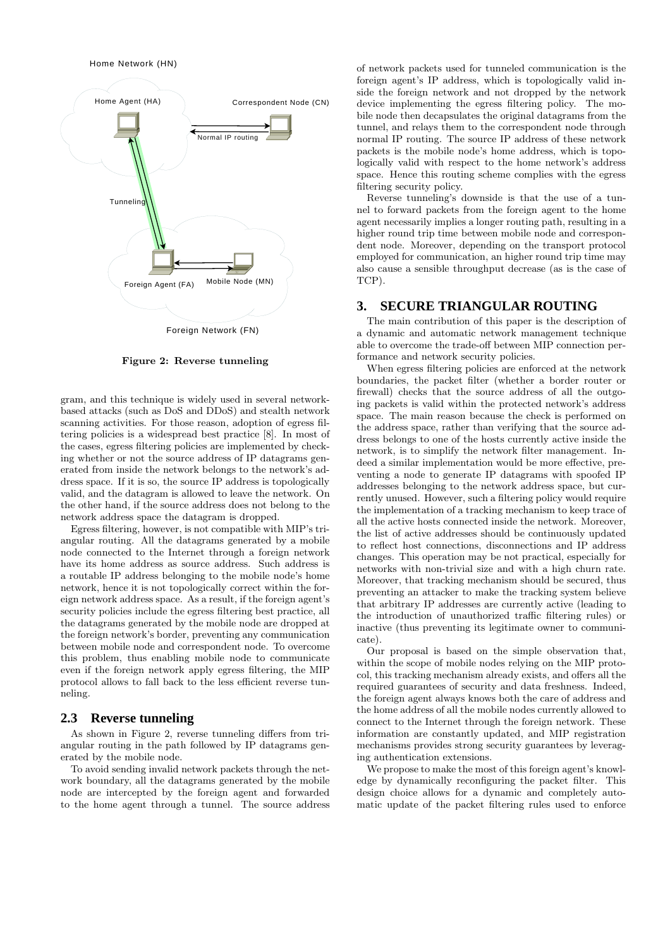Home Network (HN)



Figure 2: Reverse tunneling

gram, and this technique is widely used in several networkbased attacks (such as DoS and DDoS) and stealth network scanning activities. For those reason, adoption of egress filtering policies is a widespread best practice [8]. In most of the cases, egress filtering policies are implemented by checking whether or not the source address of IP datagrams generated from inside the network belongs to the network's address space. If it is so, the source IP address is topologically valid, and the datagram is allowed to leave the network. On the other hand, if the source address does not belong to the network address space the datagram is dropped.

Egress filtering, however, is not compatible with MIP's triangular routing. All the datagrams generated by a mobile node connected to the Internet through a foreign network have its home address as source address. Such address is a routable IP address belonging to the mobile node's home network, hence it is not topologically correct within the foreign network address space. As a result, if the foreign agent's security policies include the egress filtering best practice, all the datagrams generated by the mobile node are dropped at the foreign network's border, preventing any communication between mobile node and correspondent node. To overcome this problem, thus enabling mobile node to communicate even if the foreign network apply egress filtering, the MIP protocol allows to fall back to the less efficient reverse tunneling.

## **2.3 Reverse tunneling**

As shown in Figure 2, reverse tunneling differs from triangular routing in the path followed by IP datagrams generated by the mobile node.

To avoid sending invalid network packets through the network boundary, all the datagrams generated by the mobile node are intercepted by the foreign agent and forwarded to the home agent through a tunnel. The source address

of network packets used for tunneled communication is the foreign agent's IP address, which is topologically valid inside the foreign network and not dropped by the network device implementing the egress filtering policy. The mobile node then decapsulates the original datagrams from the tunnel, and relays them to the correspondent node through normal IP routing. The source IP address of these network packets is the mobile node's home address, which is topologically valid with respect to the home network's address space. Hence this routing scheme complies with the egress filtering security policy.

Reverse tunneling's downside is that the use of a tunnel to forward packets from the foreign agent to the home agent necessarily implies a longer routing path, resulting in a higher round trip time between mobile node and correspondent node. Moreover, depending on the transport protocol employed for communication, an higher round trip time may also cause a sensible throughput decrease (as is the case of TCP).

#### **3. SECURE TRIANGULAR ROUTING**

The main contribution of this paper is the description of a dynamic and automatic network management technique able to overcome the trade-off between MIP connection performance and network security policies.

When egress filtering policies are enforced at the network boundaries, the packet filter (whether a border router or firewall) checks that the source address of all the outgoing packets is valid within the protected network's address space. The main reason because the check is performed on the address space, rather than verifying that the source address belongs to one of the hosts currently active inside the network, is to simplify the network filter management. Indeed a similar implementation would be more effective, preventing a node to generate IP datagrams with spoofed IP addresses belonging to the network address space, but currently unused. However, such a filtering policy would require the implementation of a tracking mechanism to keep trace of all the active hosts connected inside the network. Moreover, the list of active addresses should be continuously updated to reflect host connections, disconnections and IP address changes. This operation may be not practical, especially for networks with non-trivial size and with a high churn rate. Moreover, that tracking mechanism should be secured, thus preventing an attacker to make the tracking system believe that arbitrary IP addresses are currently active (leading to the introduction of unauthorized traffic filtering rules) or inactive (thus preventing its legitimate owner to communicate).

Our proposal is based on the simple observation that, within the scope of mobile nodes relying on the MIP protocol, this tracking mechanism already exists, and offers all the required guarantees of security and data freshness. Indeed, the foreign agent always knows both the care of address and the home address of all the mobile nodes currently allowed to connect to the Internet through the foreign network. These information are constantly updated, and MIP registration mechanisms provides strong security guarantees by leveraging authentication extensions.

We propose to make the most of this foreign agent's knowledge by dynamically reconfiguring the packet filter. This design choice allows for a dynamic and completely automatic update of the packet filtering rules used to enforce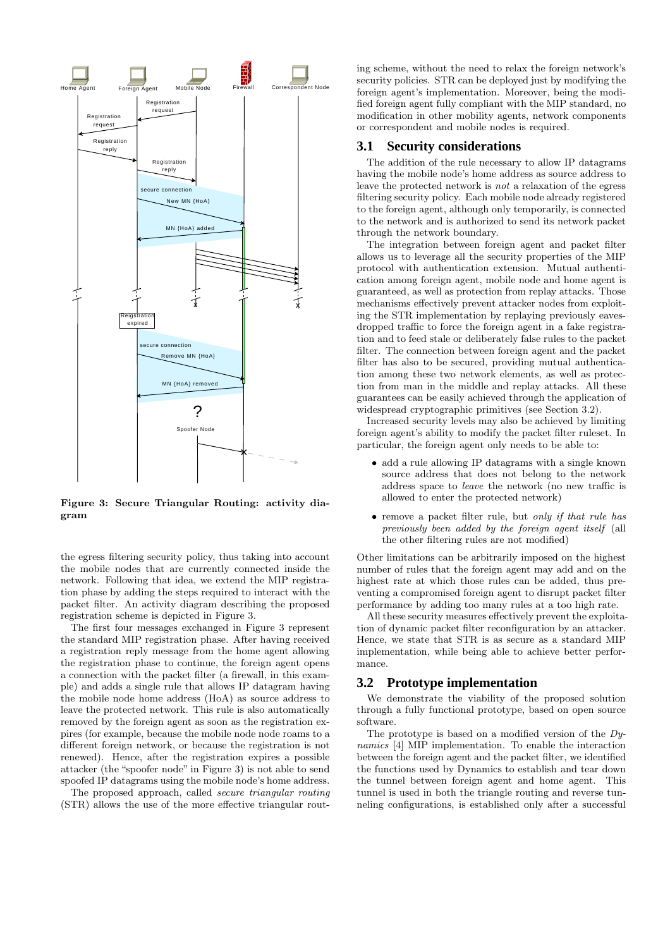

Figure 3: Secure Triangular Routing: activity diagram

the egress filtering security policy, thus taking into account the mobile nodes that are currently connected inside the network. Following that idea, we extend the MIP registration phase by adding the steps required to interact with the packet filter. An activity diagram describing the proposed registration scheme is depicted in Figure 3.

The first four messages exchanged in Figure 3 represent the standard MIP registration phase. After having received a registration reply message from the home agent allowing the registration phase to continue, the foreign agent opens a connection with the packet filter (a firewall, in this example) and adds a single rule that allows IP datagram having the mobile node home address (HoA) as source address to leave the protected network. This rule is also automatically removed by the foreign agent as soon as the registration expires (for example, because the mobile node node roams to a different foreign network, or because the registration is not renewed). Hence, after the registration expires a possible attacker (the "spoofer node" in Figure 3) is not able to send spoofed IP datagrams using the mobile node's home address.

The proposed approach, called *secure triangular routing* (STR) allows the use of the more effective triangular rout-

ing scheme, without the need to relax the foreign network's security policies. STR can be deployed just by modifying the foreign agent's implementation. Moreover, being the modified foreign agent fully compliant with the MIP standard, no modification in other mobility agents, network components or correspondent and mobile nodes is required.

## **3.1 Security considerations**

The addition of the rule necessary to allow IP datagrams having the mobile node's home address as source address to leave the protected network is *not* a relaxation of the egress filtering security policy. Each mobile node already registered to the foreign agent, although only temporarily, is connected to the network and is authorized to send its network packet through the network boundary.

The integration between foreign agent and packet filter allows us to leverage all the security properties of the MIP protocol with authentication extension. Mutual authentication among foreign agent, mobile node and home agent is guaranteed, as well as protection from replay attacks. Those mechanisms effectively prevent attacker nodes from exploiting the STR implementation by replaying previously eavesdropped traffic to force the foreign agent in a fake registration and to feed stale or deliberately false rules to the packet filter. The connection between foreign agent and the packet filter has also to be secured, providing mutual authentication among these two network elements, as well as protection from man in the middle and replay attacks. All these guarantees can be easily achieved through the application of widespread cryptographic primitives (see Section 3.2).

Increased security levels may also be achieved by limiting foreign agent's ability to modify the packet filter ruleset. In particular, the foreign agent only needs to be able to:

- add a rule allowing IP datagrams with a single known source address that does not belong to the network address space to *leave* the network (no new traffic is allowed to enter the protected network)
- remove a packet filter rule, but *only if that rule has previously been added by the foreign agent itself* (all the other filtering rules are not modified)

Other limitations can be arbitrarily imposed on the highest number of rules that the foreign agent may add and on the highest rate at which those rules can be added, thus preventing a compromised foreign agent to disrupt packet filter performance by adding too many rules at a too high rate.

All these security measures effectively prevent the exploitation of dynamic packet filter reconfiguration by an attacker. Hence, we state that STR is as secure as a standard MIP implementation, while being able to achieve better performance.

## **3.2 Prototype implementation**

We demonstrate the viability of the proposed solution through a fully functional prototype, based on open source software.

The prototype is based on a modified version of the *Dynamics* [4] MIP implementation. To enable the interaction between the foreign agent and the packet filter, we identified the functions used by Dynamics to establish and tear down the tunnel between foreign agent and home agent. This tunnel is used in both the triangle routing and reverse tunneling configurations, is established only after a successful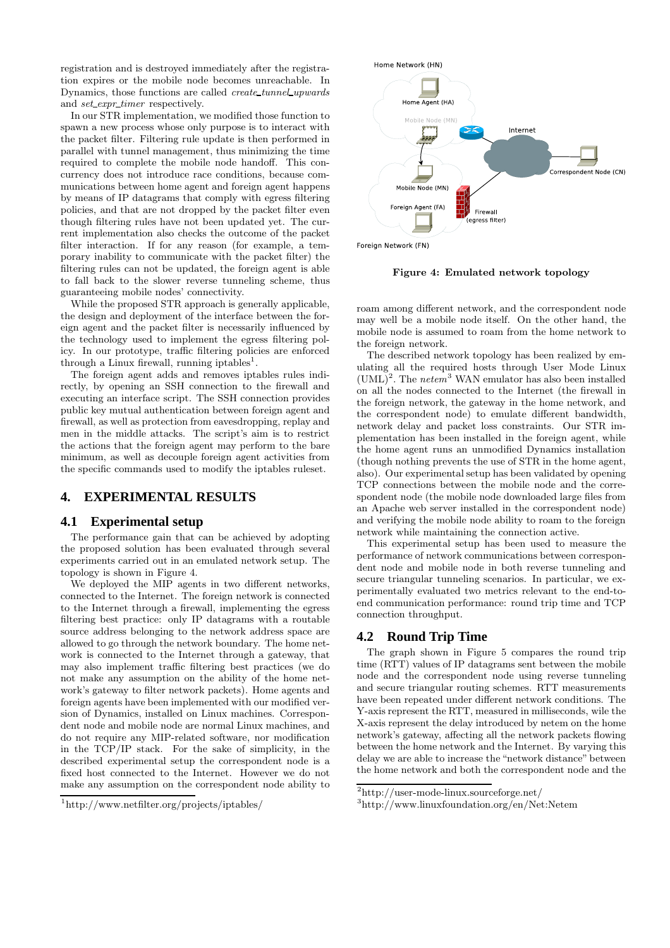registration and is destroyed immediately after the registration expires or the mobile node becomes unreachable. In Dynamics, those functions are called *create tunnel upwards* and *set expr timer* respectively.

In our STR implementation, we modified those function to spawn a new process whose only purpose is to interact with the packet filter. Filtering rule update is then performed in parallel with tunnel management, thus minimizing the time required to complete the mobile node handoff. This concurrency does not introduce race conditions, because communications between home agent and foreign agent happens by means of IP datagrams that comply with egress filtering policies, and that are not dropped by the packet filter even though filtering rules have not been updated yet. The current implementation also checks the outcome of the packet filter interaction. If for any reason (for example, a temporary inability to communicate with the packet filter) the filtering rules can not be updated, the foreign agent is able to fall back to the slower reverse tunneling scheme, thus guaranteeing mobile nodes' connectivity.

While the proposed STR approach is generally applicable, the design and deployment of the interface between the foreign agent and the packet filter is necessarily influenced by the technology used to implement the egress filtering policy. In our prototype, traffic filtering policies are enforced through a Linux firewall, running iptables<sup>1</sup>.

The foreign agent adds and removes iptables rules indirectly, by opening an SSH connection to the firewall and executing an interface script. The SSH connection provides public key mutual authentication between foreign agent and firewall, as well as protection from eavesdropping, replay and men in the middle attacks. The script's aim is to restrict the actions that the foreign agent may perform to the bare minimum, as well as decouple foreign agent activities from the specific commands used to modify the iptables ruleset.

## **4. EXPERIMENTAL RESULTS**

## **4.1 Experimental setup**

The performance gain that can be achieved by adopting the proposed solution has been evaluated through several experiments carried out in an emulated network setup. The topology is shown in Figure 4.

We deployed the MIP agents in two different networks, connected to the Internet. The foreign network is connected to the Internet through a firewall, implementing the egress filtering best practice: only IP datagrams with a routable source address belonging to the network address space are allowed to go through the network boundary. The home network is connected to the Internet through a gateway, that may also implement traffic filtering best practices (we do not make any assumption on the ability of the home network's gateway to filter network packets). Home agents and foreign agents have been implemented with our modified version of Dynamics, installed on Linux machines. Correspondent node and mobile node are normal Linux machines, and do not require any MIP-related software, nor modification in the TCP/IP stack. For the sake of simplicity, in the described experimental setup the correspondent node is a fixed host connected to the Internet. However we do not make any assumption on the correspondent node ability to



Foreign Network (FN)

Figure 4: Emulated network topology

roam among different network, and the correspondent node may well be a mobile node itself. On the other hand, the mobile node is assumed to roam from the home network to the foreign network.

The described network topology has been realized by emulating all the required hosts through User Mode Linux (UML)<sup>2</sup> . The *netem*<sup>3</sup> WAN emulator has also been installed on all the nodes connected to the Internet (the firewall in the foreign network, the gateway in the home network, and the correspondent node) to emulate different bandwidth, network delay and packet loss constraints. Our STR implementation has been installed in the foreign agent, while the home agent runs an unmodified Dynamics installation (though nothing prevents the use of STR in the home agent, also). Our experimental setup has been validated by opening TCP connections between the mobile node and the correspondent node (the mobile node downloaded large files from an Apache web server installed in the correspondent node) and verifying the mobile node ability to roam to the foreign network while maintaining the connection active.

This experimental setup has been used to measure the performance of network communications between correspondent node and mobile node in both reverse tunneling and secure triangular tunneling scenarios. In particular, we experimentally evaluated two metrics relevant to the end-toend communication performance: round trip time and TCP connection throughput.

## **4.2 Round Trip Time**

The graph shown in Figure 5 compares the round trip time (RTT) values of IP datagrams sent between the mobile node and the correspondent node using reverse tunneling and secure triangular routing schemes. RTT measurements have been repeated under different network conditions. The Y-axis represent the RTT, measured in milliseconds, wile the X-axis represent the delay introduced by netem on the home network's gateway, affecting all the network packets flowing between the home network and the Internet. By varying this delay we are able to increase the "network distance" between the home network and both the correspondent node and the

<sup>1</sup>http://www.netfilter.org/projects/iptables/

<sup>2</sup>http://user-mode-linux.sourceforge.net/

<sup>3</sup>http://www.linuxfoundation.org/en/Net:Netem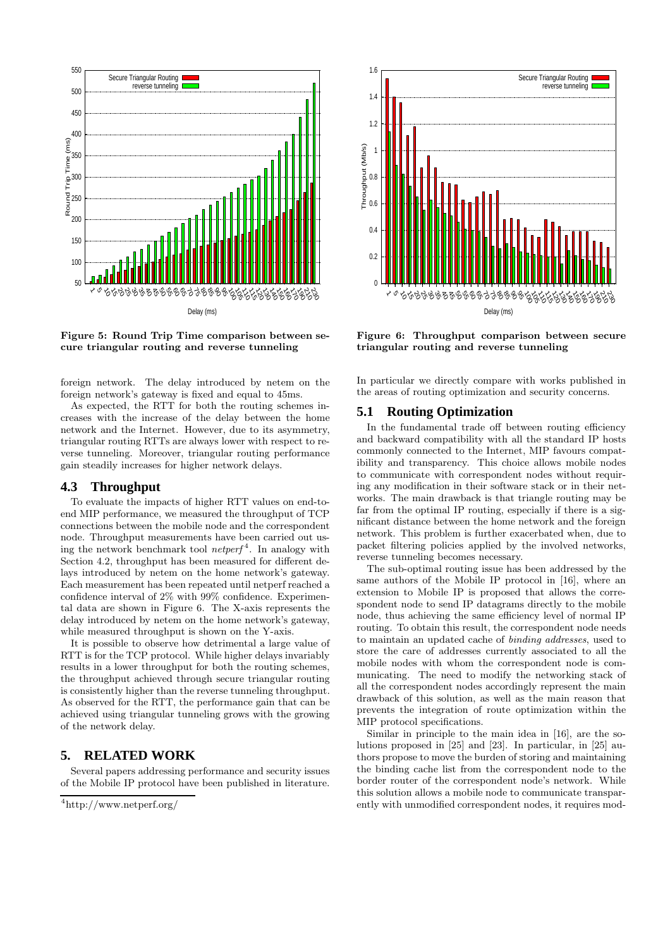

Figure 5: Round Trip Time comparison between secure triangular routing and reverse tunneling

foreign network. The delay introduced by netem on the foreign network's gateway is fixed and equal to 45ms.

As expected, the RTT for both the routing schemes increases with the increase of the delay between the home network and the Internet. However, due to its asymmetry, triangular routing RTTs are always lower with respect to reverse tunneling. Moreover, triangular routing performance gain steadily increases for higher network delays.

## **4.3 Throughput**

To evaluate the impacts of higher RTT values on end-toend MIP performance, we measured the throughput of TCP connections between the mobile node and the correspondent node. Throughput measurements have been carried out using the network benchmark tool *netperf* <sup>4</sup> . In analogy with Section 4.2, throughput has been measured for different delays introduced by netem on the home network's gateway. Each measurement has been repeated until netperf reached a confidence interval of 2% with 99% confidence. Experimental data are shown in Figure 6. The X-axis represents the delay introduced by netem on the home network's gateway, while measured throughput is shown on the Y-axis.

It is possible to observe how detrimental a large value of RTT is for the TCP protocol. While higher delays invariably results in a lower throughput for both the routing schemes, the throughput achieved through secure triangular routing is consistently higher than the reverse tunneling throughput. As observed for the RTT, the performance gain that can be achieved using triangular tunneling grows with the growing of the network delay.

## **5. RELATED WORK**

Several papers addressing performance and security issues of the Mobile IP protocol have been published in literature.



Figure 6: Throughput comparison between secure triangular routing and reverse tunneling

In particular we directly compare with works published in the areas of routing optimization and security concerns.

#### **5.1 Routing Optimization**

In the fundamental trade off between routing efficiency and backward compatibility with all the standard IP hosts commonly connected to the Internet, MIP favours compatibility and transparency. This choice allows mobile nodes to communicate with correspondent nodes without requiring any modification in their software stack or in their networks. The main drawback is that triangle routing may be far from the optimal IP routing, especially if there is a significant distance between the home network and the foreign network. This problem is further exacerbated when, due to packet filtering policies applied by the involved networks, reverse tunneling becomes necessary.

The sub-optimal routing issue has been addressed by the same authors of the Mobile IP protocol in [16], where an extension to Mobile IP is proposed that allows the correspondent node to send IP datagrams directly to the mobile node, thus achieving the same efficiency level of normal IP routing. To obtain this result, the correspondent node needs to maintain an updated cache of *binding addresses*, used to store the care of addresses currently associated to all the mobile nodes with whom the correspondent node is communicating. The need to modify the networking stack of all the correspondent nodes accordingly represent the main drawback of this solution, as well as the main reason that prevents the integration of route optimization within the MIP protocol specifications.

Similar in principle to the main idea in [16], are the solutions proposed in [25] and [23]. In particular, in [25] authors propose to move the burden of storing and maintaining the binding cache list from the correspondent node to the border router of the correspondent node's network. While this solution allows a mobile node to communicate transparently with unmodified correspondent nodes, it requires mod-

<sup>4</sup>http://www.netperf.org/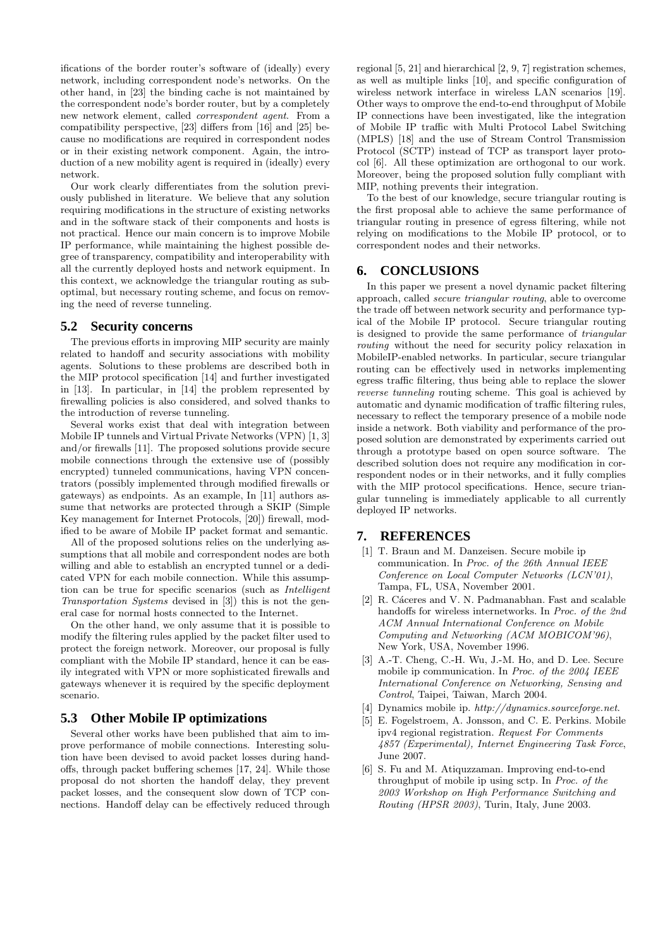ifications of the border router's software of (ideally) every network, including correspondent node's networks. On the other hand, in [23] the binding cache is not maintained by the correspondent node's border router, but by a completely new network element, called *correspondent agent*. From a compatibility perspective, [23] differs from [16] and [25] because no modifications are required in correspondent nodes or in their existing network component. Again, the introduction of a new mobility agent is required in (ideally) every network.

Our work clearly differentiates from the solution previously published in literature. We believe that any solution requiring modifications in the structure of existing networks and in the software stack of their components and hosts is not practical. Hence our main concern is to improve Mobile IP performance, while maintaining the highest possible degree of transparency, compatibility and interoperability with all the currently deployed hosts and network equipment. In this context, we acknowledge the triangular routing as suboptimal, but necessary routing scheme, and focus on removing the need of reverse tunneling.

#### **5.2 Security concerns**

The previous efforts in improving MIP security are mainly related to handoff and security associations with mobility agents. Solutions to these problems are described both in the MIP protocol specification [14] and further investigated in [13]. In particular, in [14] the problem represented by firewalling policies is also considered, and solved thanks to the introduction of reverse tunneling.

Several works exist that deal with integration between Mobile IP tunnels and Virtual Private Networks (VPN) [1, 3] and/or firewalls [11]. The proposed solutions provide secure mobile connections through the extensive use of (possibly encrypted) tunneled communications, having VPN concentrators (possibly implemented through modified firewalls or gateways) as endpoints. As an example, In [11] authors assume that networks are protected through a SKIP (Simple Key management for Internet Protocols, [20]) firewall, modified to be aware of Mobile IP packet format and semantic.

All of the proposed solutions relies on the underlying assumptions that all mobile and correspondent nodes are both willing and able to establish an encrypted tunnel or a dedicated VPN for each mobile connection. While this assumption can be true for specific scenarios (such as *Intelligent Transportation Systems* devised in [3]) this is not the general case for normal hosts connected to the Internet.

On the other hand, we only assume that it is possible to modify the filtering rules applied by the packet filter used to protect the foreign network. Moreover, our proposal is fully compliant with the Mobile IP standard, hence it can be easily integrated with VPN or more sophisticated firewalls and gateways whenever it is required by the specific deployment scenario.

#### **5.3 Other Mobile IP optimizations**

Several other works have been published that aim to improve performance of mobile connections. Interesting solution have been devised to avoid packet losses during handoffs, through packet buffering schemes [17, 24]. While those proposal do not shorten the handoff delay, they prevent packet losses, and the consequent slow down of TCP connections. Handoff delay can be effectively reduced through

regional [5, 21] and hierarchical [2, 9, 7] registration schemes, as well as multiple links [10], and specific configuration of wireless network interface in wireless LAN scenarios [19]. Other ways to omprove the end-to-end throughput of Mobile IP connections have been investigated, like the integration of Mobile IP traffic with Multi Protocol Label Switching (MPLS) [18] and the use of Stream Control Transmission Protocol (SCTP) instead of TCP as transport layer protocol [6]. All these optimization are orthogonal to our work. Moreover, being the proposed solution fully compliant with MIP, nothing prevents their integration.

To the best of our knowledge, secure triangular routing is the first proposal able to achieve the same performance of triangular routing in presence of egress filtering, while not relying on modifications to the Mobile IP protocol, or to correspondent nodes and their networks.

#### **6. CONCLUSIONS**

In this paper we present a novel dynamic packet filtering approach, called *secure triangular routing*, able to overcome the trade off between network security and performance typical of the Mobile IP protocol. Secure triangular routing is designed to provide the same performance of *triangular routing* without the need for security policy relaxation in MobileIP-enabled networks. In particular, secure triangular routing can be effectively used in networks implementing egress traffic filtering, thus being able to replace the slower *reverse tunneling* routing scheme. This goal is achieved by automatic and dynamic modification of traffic filtering rules, necessary to reflect the temporary presence of a mobile node inside a network. Both viability and performance of the proposed solution are demonstrated by experiments carried out through a prototype based on open source software. The described solution does not require any modification in correspondent nodes or in their networks, and it fully complies with the MIP protocol specifications. Hence, secure triangular tunneling is immediately applicable to all currently deployed IP networks.

## **7. REFERENCES**

- [1] T. Braun and M. Danzeisen. Secure mobile ip communication. In *Proc. of the 26th Annual IEEE Conference on Local Computer Networks (LCN'01)*, Tampa, FL, USA, November 2001.
- [2] R. Cáceres and V. N. Padmanabhan. Fast and scalable handoffs for wireless internetworks. In *Proc. of the 2nd ACM Annual International Conference on Mobile Computing and Networking (ACM MOBICOM'96)*, New York, USA, November 1996.
- [3] A.-T. Cheng, C.-H. Wu, J.-M. Ho, and D. Lee. Secure mobile ip communication. In *Proc. of the 2004 IEEE International Conference on Networking, Sensing and Control*, Taipei, Taiwan, March 2004.
- [4] Dynamics mobile ip. *http://dynamics.sourceforge.net*.
- [5] E. Fogelstroem, A. Jonsson, and C. E. Perkins. Mobile ipv4 regional registration. *Request For Comments 4857 (Experimental), Internet Engineering Task Force*, June 2007.
- [6] S. Fu and M. Atiquzzaman. Improving end-to-end throughput of mobile ip using sctp. In *Proc. of the 2003 Workshop on High Performance Switching and Routing (HPSR 2003)*, Turin, Italy, June 2003.